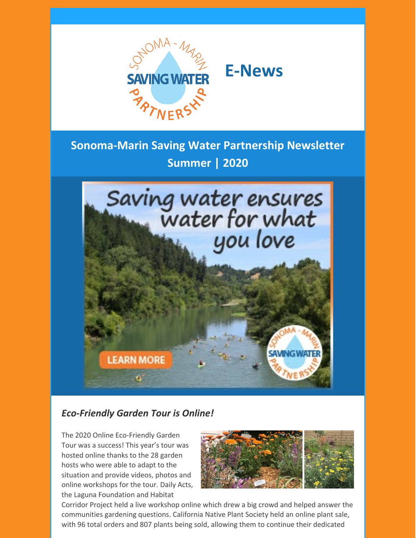



# **Sonoma-Marin Saving Water Partnership Newsletter Summer | 2020**



### *Eco-Friendly Garden Tour is Online!*

The 2020 Online Eco-Friendly Garden Tour was a success! This year's tour was hosted online thanks to the 28 garden hosts who were able to adapt to the situation and provide videos, photos and online workshops for the tour. Daily Acts, the Laguna Foundation and Habitat



Corridor Project held a live workshop online which drew a big crowd and helped answer the communities gardening questions. California Native Plant Society held an online plant sale, with 96 total orders and 807 plants being sold, allowing them to continue their dedicated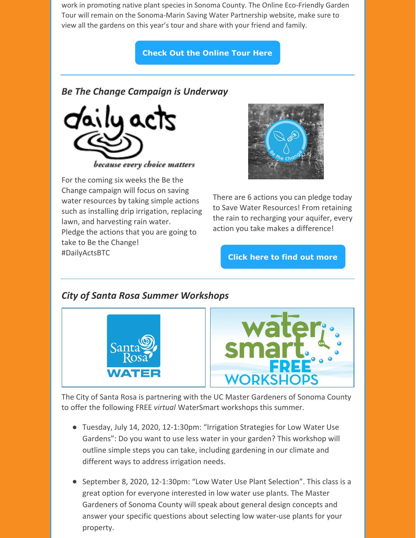work in promoting native plant species in Sonoma County. The Online Eco-Friendly Garden Tour will remain on the Sonoma-Marin Saving Water Partnership website, make sure to view all the gardens on this year's tour and share with your friend and family.

#### **Check Out the [Online](http://www.savingwaterpartnership.org/eco-friendly-garden-tour/2020-eco-friendly-garden-tour/) Tour Here**

#### *Be The Change Campaign is Underway*



For the coming six weeks the Be the Change campaign will focus on saving water resources by taking simple actions such as installing drip irrigation, replacing lawn, and harvesting rain water. Pledge the actions that you are going to take to Be the Change! [#DailyActsBTC](https://www.facebook.com/hashtag/dailyactsbtc?__eep__=6&source=feed_text&epa=HASHTAG&__xts__%5B0%5D=68.ARCaFfwYQe4Lr15TPqwQVCeimL4-oublrDACZPi0LmyBs-OFyCqryapc17H8cSHTDTfcIKNvrBGe8iVDDlke9SX4immOhHVUJpnbdqp8UDUidktKVu2L01dxp770Y70ZoE83tiJgJLKFDC7JW0_j1fOQDo6QOhRf89qqh4bOb43IdZB89CB8JIqZ76-7EAFI2q2Slx8mcoSUWjJi1HpFkMP4xVxoVnLGz1K8qNwF26UuwCYA7tGr4cE_qKdYYQtjzfnSI_vKc8gkK7pXZ59Pfu0jHu5z4imDVNBmCbYKXeHgGZuLyko729XMahLn5IbKtevjRel9TJLrJbjNmUGAe58paHEDBN4XHB2aDjgKHZELkpkkjCzEW1f7ZwWXzwMUPdraBUPHL2stfmlSI-Kdem6TgWRCtw-Q8MuqpzJKbV4JVuYW1PlLUF4ZbvGP72AqK_uOU6f-4Trk_bU1pkeeWbZN5Go8pJjDCHkAtSx9EKFp&__tn__=%2ANK-R)



There are 6 actions you can pledge today to Save Water Resources! From retaining the rain to recharging your aquifer, every action you take makes a difference!

**Click here to find out [more](https://dailyacts.org/bethechange/)**

### *City of Santa Rosa Summer Workshops*





The City of Santa Rosa is partnering with the UC Master Gardeners of Sonoma County to offer the following FREE *virtual* WaterSmart workshops this summer.

- Tuesday, July 14, 2020, 12-1:30pm: "Irrigation Strategies for Low Water Use Gardens": Do you want to use less water in your garden? This workshop will outline simple steps you can take, including gardening in our climate and different ways to address irrigation needs.
- September 8, 2020, 12-1:30pm: "Low Water Use Plant Selection". This class is a great option for everyone interested in low water use plants. The Master Gardeners of Sonoma County will speak about general design concepts and answer your specific questions about selecting low water-use plants for your property.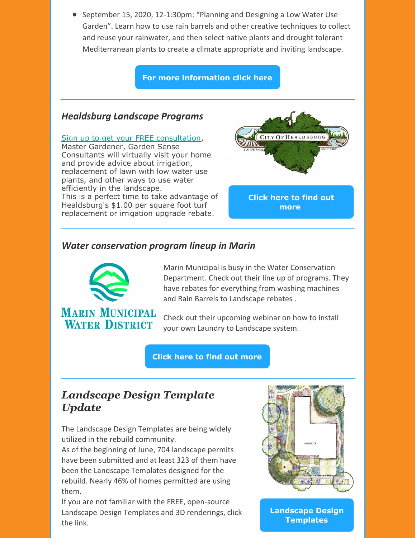● September 15, 2020, 12-1:30pm: "Planning and Designing a Low Water Use Garden". Learn how to use rain barrels and other creative techniques to collect and reuse your rainwater, and then select native plants and drought tolerant Mediterranean plants to create a climate appropriate and inviting landscape.

**For more [information](https://srcity.org/3131/WaterSmart-Workshops) click here**

#### *Healdsburg Landscape Programs*

#### Sign up to get your FREE [consultation](http://sonomamg.ucanr.edu/Garden_Sense_Master/Consultation_Request/).

Master Gardener, Garden Sense Consultants will virtually visit your home and provide advice about irrigation, replacement of lawn with low water use plants, and other ways to use water efficiently in the landscape. This is a perfect time to take advantage of Healdsburg's \$1.00 per square foot turf replacement or irrigation upgrade rebate.



**Click here to find out [more](https://www.ci.healdsburg.ca.us/723/Water-Rebates)**

#### *Water conservation program lineup in Marin*



Marin Municipal is busy in the Water Conservation Department. Check out their line up of programs. They have rebates for everything from washing machines and Rain Barrels to Landscape rebates .

Check out their upcoming webinar on how to install your own Laundry to Landscape system.

**Click here to find out [more](https://www.urbanfarmerstore.com/mmwd-l2l-webinars/)**

## *Landscape Design Template Update*

The Landscape Design Templates are being widely utilized in the rebuild community.

As of the beginning of June, 704 landscape permits have been submitted and at least 323 of them have been the Landscape Templates designed for the rebuild. Nearly 46% of homes permitted are using them.

If you are not familiar with the FREE, open-source Landscape Design Templates and 3D renderings, click the link.



**[Landscape](http://www.savingwaterpartnership.org/concept-plans-and-design-templates/) Design Templates**